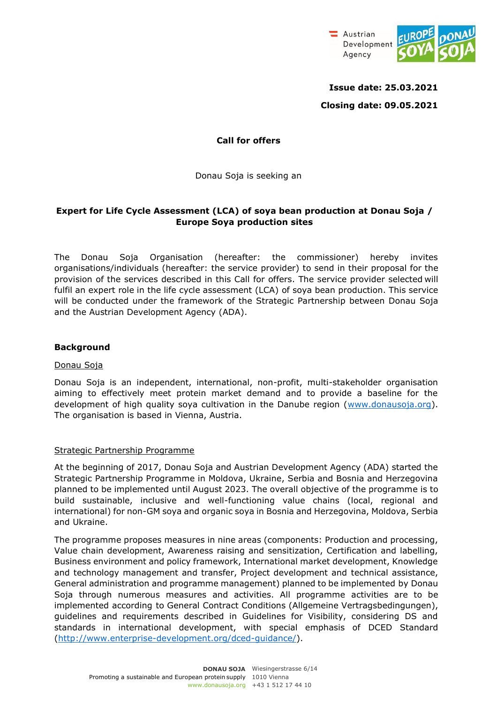

**Issue date: 25.03.2021 Closing date: 09.05.2021** 

### **Call for offers**

Donau Soja is seeking an

# **Expert for Life Cycle Assessment (LCA) of soya bean production at Donau Soja / Europe Soya production sites**

The Donau Soja Organisation (hereafter: the commissioner) hereby invites organisations/individuals (hereafter: the service provider) to send in their proposal for the provision of the services described in this Call for offers. The service provider selected will fulfil an expert role in the life cycle assessment (LCA) of soya bean production. This service will be conducted under the framework of the Strategic Partnership between Donau Soja and the Austrian Development Agency (ADA).

### **Background**

#### Donau Soja

Donau Soja is an independent, international, non-profit, multi-stakeholder organisation aiming to effectively meet protein market demand and to provide a baseline for the development of high quality soya cultivation in the Danube region (www.donausoja.org). The organisation is based in Vienna, Austria.

#### Strategic Partnership Programme

At the beginning of 2017, Donau Soja and Austrian Development Agency (ADA) started the Strategic Partnership Programme in Moldova, Ukraine, Serbia and Bosnia and Herzegovina planned to be implemented until August 2023. The overall objective of the programme is to build sustainable, inclusive and well-functioning value chains (local, regional and international) for non-GM soya and organic soya in Bosnia and Herzegovina, Moldova, Serbia and Ukraine.

The programme proposes measures in nine areas (components: Production and processing, Value chain development, Awareness raising and sensitization, Certification and labelling, Business environment and policy framework, International market development, Knowledge and technology management and transfer, Project development and technical assistance, General administration and programme management) planned to be implemented by Donau Soja through numerous measures and activities. All programme activities are to be implemented according to General Contract Conditions (Allgemeine Vertragsbedingungen), guidelines and requirements described in Guidelines for Visibility, considering DS and standards in international development, with special emphasis of DCED Standard [\(http://www.enterprise-development.org/dced-guidance/\).](http://www.enterprise-development.org/dced-guidance/))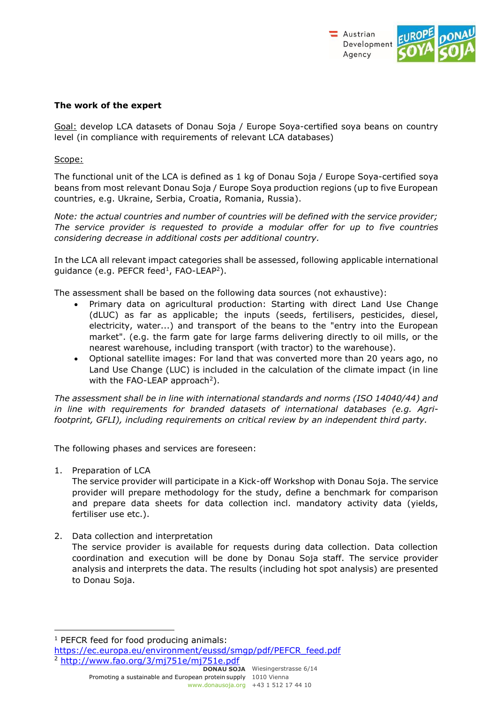

#### **The work of the expert**

Goal: develop LCA datasets of Donau Soja / Europe Soya-certified soya beans on country level (in compliance with requirements of relevant LCA databases)

### Scope:

The functional unit of the LCA is defined as 1 kg of Donau Soja / Europe Soya-certified soya beans from most relevant Donau Soja / Europe Soya production regions (up to five European countries, e.g. Ukraine, Serbia, Croatia, Romania, Russia).

*Note: the actual countries and number of countries will be defined with the service provider; The service provider is requested to provide a modular offer for up to five countries considering decrease in additional costs per additional country.* 

In the LCA all relevant impact categories shall be assessed, following applicable international guidance (e.g. PEFCR feed<sup>1</sup>, FAO-LEAP<sup>[2](#page-1-0)</sup>).

The assessment shall be based on the following data sources (not exhaustive):

- Primary data on agricultural production: Starting with direct Land Use Change (dLUC) as far as applicable; the inputs (seeds, fertilisers, pesticides, diesel, electricity, water...) and transport of the beans to the "entry into the European market". (e.g. the farm gate for large farms delivering directly to oil mills, or the nearest warehouse, including transport (with tractor) to the warehouse).
- <span id="page-1-0"></span>• Optional satellite images: For land that was converted more than 20 years ago, no Land Use Change (LUC) is included in the calculation of the climate impact (in line with the FAO-LEAP approach<sup>2</sup>).

*The assessment shall be in line with international standards and norms (ISO 14040/44) and in line with requirements for branded datasets of international databases (e.g. Agrifootprint, GFLI), including requirements on critical review by an independent third party.* 

The following phases and services are foreseen:

1. Preparation of LCA

The service provider will participate in a Kick-off Workshop with Donau Soja. The service provider will prepare methodology for the study, define a benchmark for comparison and prepare data sheets for data collection incl. mandatory activity data (yields, fertiliser use etc.).

2. Data collection and interpretation

The service provider is available for requests during data collection. Data collection coordination and execution will be done by Donau Soja staff. The service provider analysis and interprets the data. The results (including hot spot analysis) are presented to Donau Soja.

**DONAU SOJA** Wiesingerstrasse 6/14 Promoting a sustainable and European protein supply 1010 Vienna

[www.donausoja.org](http://www.donausoja.org/) +43 1 512 17 44 10

<sup>&</sup>lt;sup>1</sup> PEFCR feed for food producing animals:

[https://ec.europa.eu/environment/eussd/smgp/pdf/PEFCR\\_feed.pdf](https://ec.europa.eu/environment/eussd/smgp/pdf/PEFCR_feed.pdf)  <sup>2</sup> <http://www.fao.org/3/mj751e/mj751e.pdf>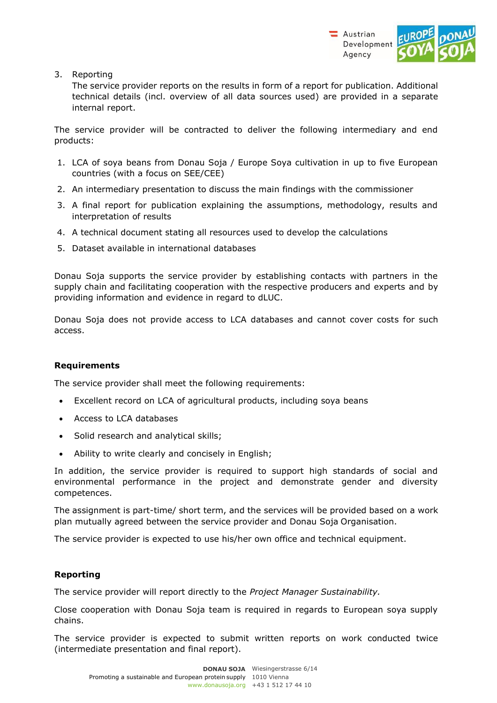

3. Reporting

The service provider reports on the results in form of a report for publication. Additional technical details (incl. overview of all data sources used) are provided in a separate internal report.

The service provider will be contracted to deliver the following intermediary and end products:

- 1. LCA of soya beans from Donau Soja / Europe Soya cultivation in up to five European countries (with a focus on SEE/CEE)
- 2. An intermediary presentation to discuss the main findings with the commissioner
- 3. A final report for publication explaining the assumptions, methodology, results and interpretation of results
- 4. A technical document stating all resources used to develop the calculations
- 5. Dataset available in international databases

Donau Soja supports the service provider by establishing contacts with partners in the supply chain and facilitating cooperation with the respective producers and experts and by providing information and evidence in regard to dLUC.

Donau Soja does not provide access to LCA databases and cannot cover costs for such access.

#### **Requirements**

The service provider shall meet the following requirements:

- Excellent record on LCA of agricultural products, including soya beans
- Access to LCA databases
- Solid research and analytical skills;
- Ability to write clearly and concisely in English;

In addition, the service provider is required to support high standards of social and environmental performance in the project and demonstrate gender and diversity competences.

The assignment is part-time/ short term, and the services will be provided based on a work plan mutually agreed between the service provider and Donau Soja Organisation.

The service provider is expected to use his/her own office and technical equipment.

## **Reporting**

The service provider will report directly to the *Project Manager Sustainability.*

Close cooperation with Donau Soja team is required in regards to European soya supply chains.

The service provider is expected to submit written reports on work conducted twice (intermediate presentation and final report).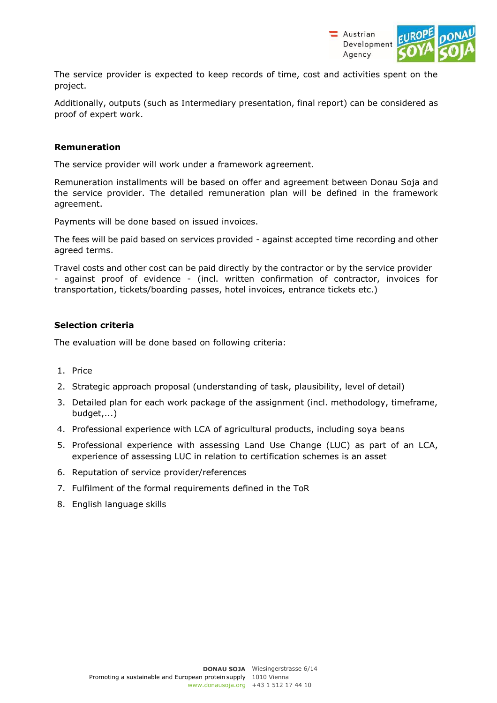

The service provider is expected to keep records of time, cost and activities spent on the project.

Additionally, outputs (such as Intermediary presentation, final report) can be considered as proof of expert work.

#### **Remuneration**

The service provider will work under a framework agreement.

Remuneration installments will be based on offer and agreement between Donau Soja and the service provider. The detailed remuneration plan will be defined in the framework agreement.

Payments will be done based on issued invoices.

The fees will be paid based on services provided - against accepted time recording and other agreed terms.

Travel costs and other cost can be paid directly by the contractor or by the service provider - against proof of evidence - (incl. written confirmation of contractor, invoices for transportation, tickets/boarding passes, hotel invoices, entrance tickets etc.)

### **Selection criteria**

The evaluation will be done based on following criteria:

- 1. Price
- 2. Strategic approach proposal (understanding of task, plausibility, level of detail)
- 3. Detailed plan for each work package of the assignment (incl. methodology, timeframe, budget,...)
- 4. Professional experience with LCA of agricultural products, including soya beans
- 5. Professional experience with assessing Land Use Change (LUC) as part of an LCA, experience of assessing LUC in relation to certification schemes is an asset
- 6. Reputation of service provider/references
- 7. Fulfilment of the formal requirements defined in the ToR
- 8. English language skills